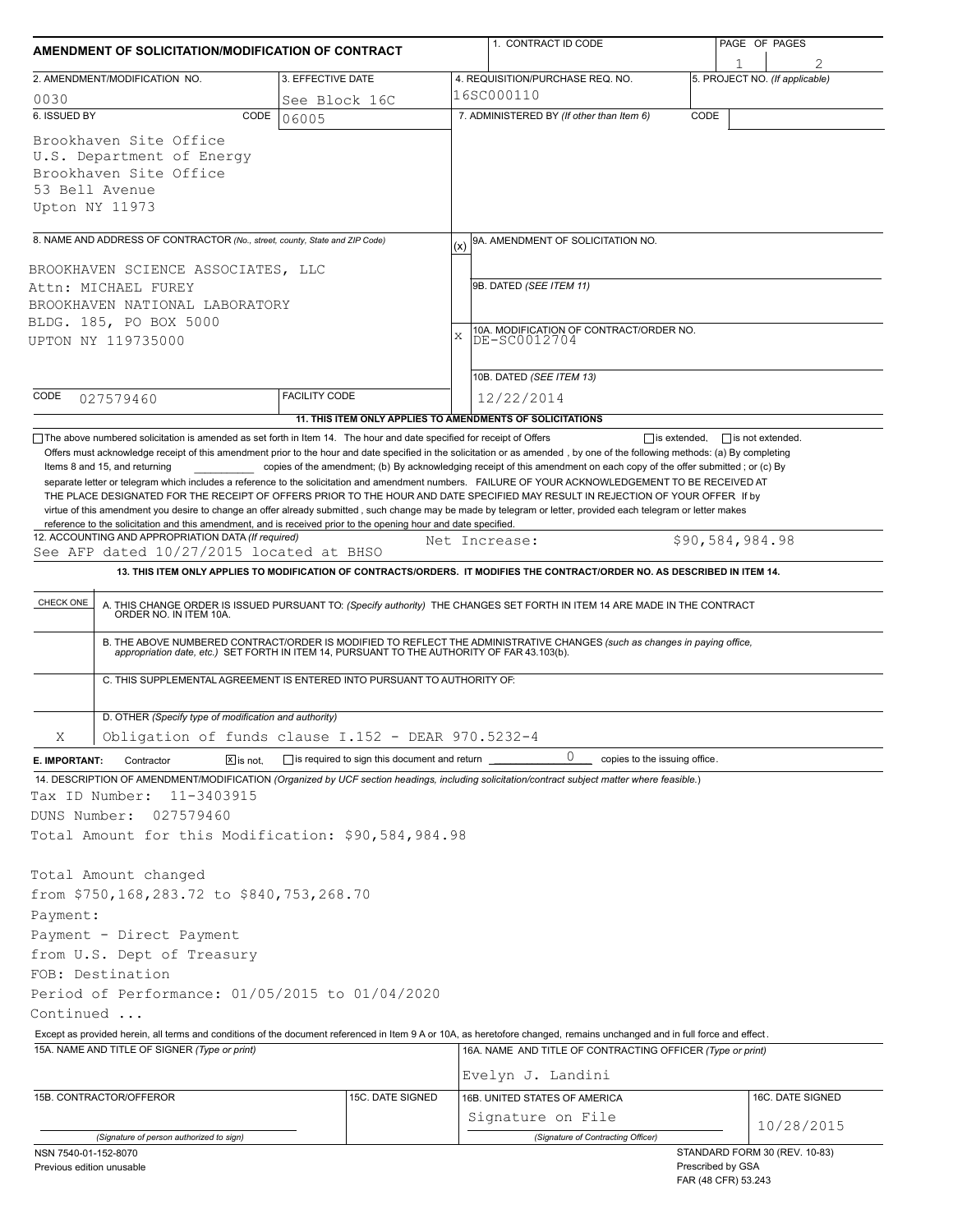| AMENDMENT OF SOLICITATION/MODIFICATION OF CONTRACT                                                                                                                                                                 |                      |                                                     |     | 1. CONTRACT ID CODE                                                                                                                                                                                                   | PAGE OF PAGES |                                             |  |  |  |
|--------------------------------------------------------------------------------------------------------------------------------------------------------------------------------------------------------------------|----------------------|-----------------------------------------------------|-----|-----------------------------------------------------------------------------------------------------------------------------------------------------------------------------------------------------------------------|---------------|---------------------------------------------|--|--|--|
| 2. AMENDMENT/MODIFICATION NO.                                                                                                                                                                                      |                      | 3. EFFECTIVE DATE                                   |     | 4. REQUISITION/PURCHASE REQ. NO.                                                                                                                                                                                      |               | 5. PROJECT NO. (If applicable)              |  |  |  |
| 0030                                                                                                                                                                                                               |                      | See Block 16C                                       |     | 16SC000110                                                                                                                                                                                                            |               |                                             |  |  |  |
| 6. ISSUED BY                                                                                                                                                                                                       | CODE<br>06005        |                                                     |     | 7. ADMINISTERED BY (If other than Item 6)                                                                                                                                                                             | CODE          |                                             |  |  |  |
| Brookhaven Site Office<br>U.S. Department of Energy<br>Brookhaven Site Office<br>53 Bell Avenue<br>Upton NY 11973                                                                                                  |                      |                                                     |     |                                                                                                                                                                                                                       |               |                                             |  |  |  |
|                                                                                                                                                                                                                    |                      |                                                     |     |                                                                                                                                                                                                                       |               |                                             |  |  |  |
| 8. NAME AND ADDRESS OF CONTRACTOR (No., street, county, State and ZIP Code)                                                                                                                                        |                      |                                                     | (x) | 9A. AMENDMENT OF SOLICITATION NO.                                                                                                                                                                                     |               |                                             |  |  |  |
| BROOKHAVEN SCIENCE ASSOCIATES, LLC                                                                                                                                                                                 |                      |                                                     |     | 9B. DATED (SEE ITEM 11)                                                                                                                                                                                               |               |                                             |  |  |  |
| Attn: MICHAEL FUREY                                                                                                                                                                                                |                      |                                                     |     |                                                                                                                                                                                                                       |               |                                             |  |  |  |
| BROOKHAVEN NATIONAL LABORATORY                                                                                                                                                                                     |                      |                                                     |     |                                                                                                                                                                                                                       |               |                                             |  |  |  |
| BLDG. 185, PO BOX 5000                                                                                                                                                                                             |                      |                                                     | X   | 10A. MODIFICATION OF CONTRACT/ORDER NO.<br>DE-SC0012704                                                                                                                                                               |               |                                             |  |  |  |
| UPTON NY 119735000                                                                                                                                                                                                 |                      |                                                     |     |                                                                                                                                                                                                                       |               |                                             |  |  |  |
|                                                                                                                                                                                                                    |                      |                                                     |     | 10B. DATED (SEE ITEM 13)                                                                                                                                                                                              |               |                                             |  |  |  |
| CODE<br>027579460                                                                                                                                                                                                  | <b>FACILITY CODE</b> |                                                     |     | 12/22/2014                                                                                                                                                                                                            |               |                                             |  |  |  |
|                                                                                                                                                                                                                    |                      |                                                     |     | 11. THIS ITEM ONLY APPLIES TO AMENDMENTS OF SOLICITATIONS                                                                                                                                                             |               |                                             |  |  |  |
| The above numbered solicitation is amended as set forth in Item 14. The hour and date specified for receipt of Offers                                                                                              |                      |                                                     |     |                                                                                                                                                                                                                       |               | $\Box$ is extended, $\Box$ is not extended. |  |  |  |
| reference to the solicitation and this amendment, and is received prior to the opening hour and date specified.<br>12. ACCOUNTING AND APPROPRIATION DATA (If required)<br>See AFP dated 10/27/2015 located at BHSO |                      |                                                     |     | Net Increase:                                                                                                                                                                                                         |               | \$90,584,984.98                             |  |  |  |
|                                                                                                                                                                                                                    |                      |                                                     |     | 13. THIS ITEM ONLY APPLIES TO MODIFICATION OF CONTRACTS/ORDERS. IT MODIFIES THE CONTRACT/ORDER NO. AS DESCRIBED IN ITEM 14.                                                                                           |               |                                             |  |  |  |
| CHECK ONE                                                                                                                                                                                                          |                      |                                                     |     | A. THIS CHANGE ORDER IS ISSUED PURSUANT TO: (Specify authority) THE CHANGES SET FORTH IN ITEM 14 ARE MADE IN THE CONTRACT ORDER NO. IN ITEM 10A.                                                                      |               |                                             |  |  |  |
|                                                                                                                                                                                                                    |                      |                                                     |     | B. THE ABOVE NUMBERED CONTRACT/ORDER IS MODIFIED TO REFLECT THE ADMINISTRATIVE CHANGES (such as changes in paying office, appropriation date, etc.) SET FORTH IN ITEM 14, PURSUANT TO THE AUTHORITY OF FAR 43.103(b). |               |                                             |  |  |  |
| C. THIS SUPPLEMENTAL AGREEMENT IS ENTERED INTO PURSUANT TO AUTHORITY OF:                                                                                                                                           |                      |                                                     |     |                                                                                                                                                                                                                       |               |                                             |  |  |  |
| D. OTHER (Specify type of modification and authority)                                                                                                                                                              |                      |                                                     |     |                                                                                                                                                                                                                       |               |                                             |  |  |  |
| Obligation of funds clause I.152 - DEAR 970.5232-4<br>Χ                                                                                                                                                            |                      |                                                     |     |                                                                                                                                                                                                                       |               |                                             |  |  |  |
| Contractor<br>E. IMPORTANT:                                                                                                                                                                                        | $X$ is not.          | $\Box$ is required to sign this document and return |     | 0<br>copies to the issuing office.                                                                                                                                                                                    |               |                                             |  |  |  |
| 14. DESCRIPTION OF AMENDMENT/MODIFICATION (Organized by UCF section headings, including solicitation/contract subject matter where feasible.)                                                                      |                      |                                                     |     |                                                                                                                                                                                                                       |               |                                             |  |  |  |
| Tax ID Number:<br>11-3403915                                                                                                                                                                                       |                      |                                                     |     |                                                                                                                                                                                                                       |               |                                             |  |  |  |
| DUNS Number:<br>027579460                                                                                                                                                                                          |                      |                                                     |     |                                                                                                                                                                                                                       |               |                                             |  |  |  |
| Total Amount for this Modification: \$90,584,984.98                                                                                                                                                                |                      |                                                     |     |                                                                                                                                                                                                                       |               |                                             |  |  |  |
| Total Amount changed                                                                                                                                                                                               |                      |                                                     |     |                                                                                                                                                                                                                       |               |                                             |  |  |  |
| from \$750,168,283.72 to \$840,753,268.70                                                                                                                                                                          |                      |                                                     |     |                                                                                                                                                                                                                       |               |                                             |  |  |  |
| Payment:                                                                                                                                                                                                           |                      |                                                     |     |                                                                                                                                                                                                                       |               |                                             |  |  |  |
| Payment - Direct Payment                                                                                                                                                                                           |                      |                                                     |     |                                                                                                                                                                                                                       |               |                                             |  |  |  |
| from U.S. Dept of Treasury                                                                                                                                                                                         |                      |                                                     |     |                                                                                                                                                                                                                       |               |                                             |  |  |  |
| FOB: Destination                                                                                                                                                                                                   |                      |                                                     |     |                                                                                                                                                                                                                       |               |                                             |  |  |  |
| Period of Performance: 01/05/2015 to 01/04/2020                                                                                                                                                                    |                      |                                                     |     |                                                                                                                                                                                                                       |               |                                             |  |  |  |
| Continued                                                                                                                                                                                                          |                      |                                                     |     |                                                                                                                                                                                                                       |               |                                             |  |  |  |
|                                                                                                                                                                                                                    |                      |                                                     |     | Except as provided herein, all terms and conditions of the document referenced in Item 9 A or 10A, as heretofore changed, remains unchanged and in full force and effect.                                             |               |                                             |  |  |  |
| 15A. NAME AND TITLE OF SIGNER (Type or print)                                                                                                                                                                      |                      |                                                     |     | 16A. NAME AND TITLE OF CONTRACTING OFFICER (Type or print)                                                                                                                                                            |               |                                             |  |  |  |
|                                                                                                                                                                                                                    |                      |                                                     |     |                                                                                                                                                                                                                       |               |                                             |  |  |  |
|                                                                                                                                                                                                                    |                      |                                                     |     | Evelyn J. Landini                                                                                                                                                                                                     |               |                                             |  |  |  |
| 15B. CONTRACTOR/OFFEROR                                                                                                                                                                                            |                      | 15C. DATE SIGNED                                    |     | 16B. UNITED STATES OF AMERICA                                                                                                                                                                                         |               | 16C. DATE SIGNED                            |  |  |  |
|                                                                                                                                                                                                                    |                      |                                                     |     | Signature on File                                                                                                                                                                                                     |               | 10/28/2015                                  |  |  |  |
| (Signature of person authorized to sign)                                                                                                                                                                           |                      |                                                     |     | (Signature of Contracting Officer)                                                                                                                                                                                    |               | STANDARD FORM 30 (REV. 10-83)               |  |  |  |
| NSN 7540-01-152-8070<br>Previous edition unusable                                                                                                                                                                  |                      |                                                     |     |                                                                                                                                                                                                                       |               | Prescribed by GSA<br>FAR (48 CFR) 53.243    |  |  |  |